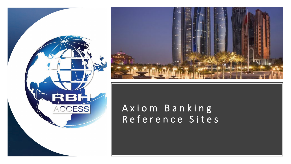



## Axiom Banking Reference Sites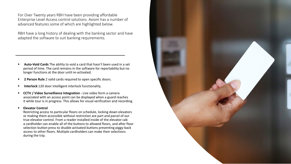For Over Twenty years RBH have been providing affordable Enterprise Level Access control solutions. Axiom has a number of advanced features some of which are highlighted below.

RBH have a long history of dealing with the banking sector and have adapted the software to suit banking requirements.

- **Auto-Void Cards** The ability to void a card that hasn't been used in a set period of time. The card remains in the software for reportability but no longer functions at the door until re-activated.
- **2 Person Rule** 2 valid cards required to open specific doors.
- **Interlock** 120 door intelligent interlock functionality.
- **CCTV / Video Surveillance Integration -** Live video form a camera associated with an access point can be displayed when a guard reaches it while tour is in progress. This allows for visual verification and recording.

## **Elevator Control**

Restricting access to particular floors on schedule, locking down elevators or making them accessible without restriction are part and parcel of our true elevator control. From a reader installed inside of the elevator cab a cardholder can enable all of the buttons to allowed floors, and after floor selection button press to disable activated buttons preventing piggy-back access to other floors. Multiple cardholders can make their selections during the trip.

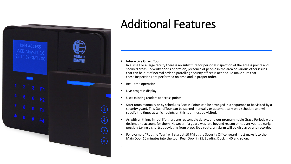

## Additional Features

**Interactive Guard Tour**

In a small or a large facility there is no substitute for personal inspection of the access points and secured areas. To verify door's operation, presence of people in the area or various other issues that can be out of normal order a patrolling security officer is needed. To make sure that these inspections are performed on time and in proper order.

- Real-time operation
- Live progress display

.

- Uses existing readers at access points
- Start tours manually or by schedules Access Points can be arranged in a sequence to be visited by a security guard. This Guard Tour can be started manually or automatically on a schedule and will specify the times at which points on this tour must be visited.
- As with all things in real life there are reasonable delays, and our programmable Grace Periods were designed to account for them. However if a guard was late beyond reason or had arrived too early, possibly taking a shortcut deviating from prescribed route, an alarm will be displayed and recorded.
- For example "Routine Tour" will start at 10 PM at the Security Office, guard must make it to the Main Door 10 minutes into the tour, Rear Door in 25, Loading Dock in 40 and so on.